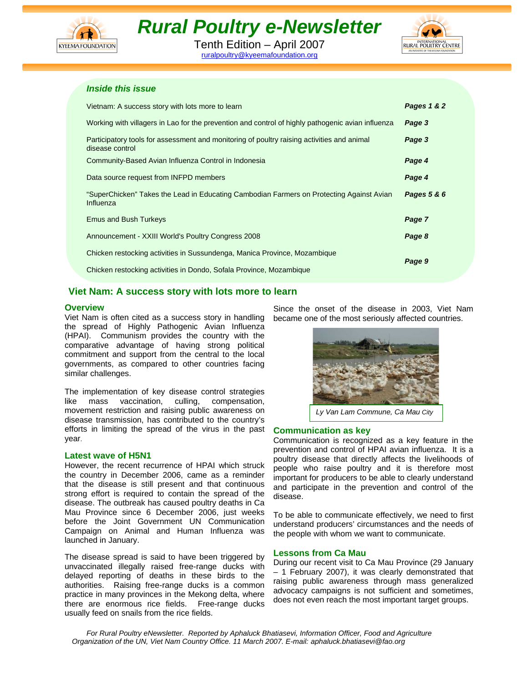

# *Rural Poultry e-Newsletter*

Tenth Edition – April 2007 ruralpoultry@kyeemafoundation.org



## *Inside this issue*

| Vietnam: A success story with lots more to learn                                                              | Pages 1 & 2 |
|---------------------------------------------------------------------------------------------------------------|-------------|
| Working with villagers in Lao for the prevention and control of highly pathogenic avian influenza             | Page 3      |
| Participatory tools for assessment and monitoring of poultry raising activities and animal<br>disease control | Page 3      |
| Community-Based Avian Influenza Control in Indonesia                                                          | Page 4      |
| Data source request from INFPD members                                                                        | Page 4      |
| "SuperChicken" Takes the Lead in Educating Cambodian Farmers on Protecting Against Avian<br>Influenza         | Pages 5 & 6 |
| <b>Emus and Bush Turkeys</b>                                                                                  | Page 7      |
| Announcement - XXIII World's Poultry Congress 2008                                                            | Page 8      |
| Chicken restocking activities in Sussundenga, Manica Province, Mozambique                                     | Page 9      |
| Chicken restocking activities in Dondo, Sofala Province, Mozambique                                           |             |

# **Viet Nam: A success story with lots more to learn**

## **Overview**

Viet Nam is often cited as a success story in handling the spread of Highly Pathogenic Avian Influenza (HPAI). Communism provides the country with the comparative advantage of having strong political commitment and support from the central to the local governments, as compared to other countries facing similar challenges.

The implementation of key disease control strategies like mass vaccination, culling, compensation, movement restriction and raising public awareness on disease transmission, has contributed to the country's efforts in limiting the spread of the virus in the past year.

## **Latest wave of H5N1**

However, the recent recurrence of HPAI which struck the country in December 2006, came as a reminder that the disease is still present and that continuous strong effort is required to contain the spread of the disease. The outbreak has caused poultry deaths in Ca Mau Province since 6 December 2006, just weeks before the Joint Government UN Communication Campaign on Animal and Human Influenza was launched in January.

The disease spread is said to have been triggered by unvaccinated illegally raised free-range ducks with delayed reporting of deaths in these birds to the authorities. Raising free-range ducks is a common practice in many provinces in the Mekong delta, where there are enormous rice fields. Free-range ducks usually feed on snails from the rice fields.

Since the onset of the disease in 2003, Viet Nam became one of the most seriously affected countries.



*Ly Van Lam Commune, Ca Mau City*

## **Communication as key**

Communication is recognized as a key feature in the prevention and control of HPAI avian influenza. It is a poultry disease that directly affects the livelihoods of people who raise poultry and it is therefore most important for producers to be able to clearly understand and participate in the prevention and control of the disease.

To be able to communicate effectively, we need to first understand producers' circumstances and the needs of the people with whom we want to communicate.

## **Lessons from Ca Mau**

During our recent visit to Ca Mau Province (29 January – 1 February 2007), it was clearly demonstrated that raising public awareness through mass generalized advocacy campaigns is not sufficient and sometimes, does not even reach the most important target groups.

*For Rural Poultry eNewsletter. Reported by Aphaluck Bhatiasevi, Information Officer, Food and Agriculture Organization of the UN, Viet Nam Country Office. 11 March 2007. E-mail: aphaluck.bhatiasevi@fao.org*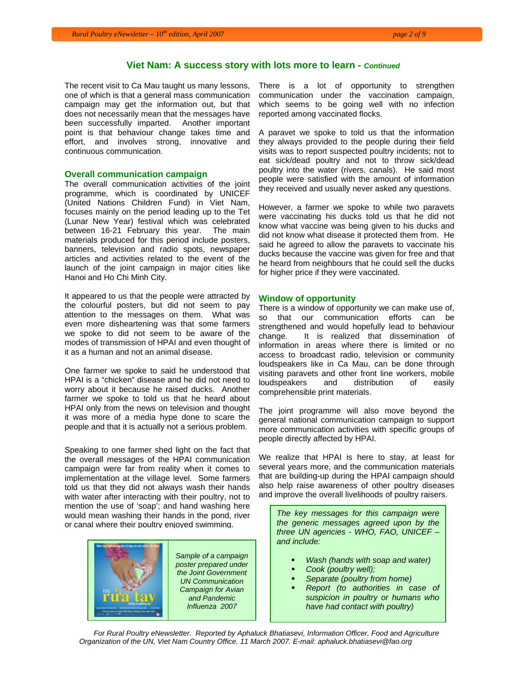## **Viet Nam: A success story with lots more to learn -** *Continued*

The recent visit to Ca Mau taught us many lessons, one of which is that a general mass communication campaign may get the information out, but that does not necessarily mean that the messages have been successfully imparted. Another important point is that behaviour change takes time and effort, and involves strong, innovative and continuous communication.

## **Overall communication campaign**

The overall communication activities of the joint programme, which is coordinated by UNICEF (United Nations Children Fund) in Viet Nam, focuses mainly on the period leading up to the Tet (Lunar New Year) festival which was celebrated between 16-21 February this year. The main materials produced for this period include posters, banners, television and radio spots, newspaper articles and activities related to the event of the launch of the joint campaign in major cities like Hanoi and Ho Chi Minh City.

It appeared to us that the people were attracted by the colourful posters, but did not seem to pay attention to the messages on them. What was even more disheartening was that some farmers we spoke to did not seem to be aware of the modes of transmission of HPAI and even thought of it as a human and not an animal disease.

One farmer we spoke to said he understood that HPAI is a "chicken" disease and he did not need to worry about it because he raised ducks. Another farmer we spoke to told us that he heard about HPAI only from the news on television and thought it was more of a media hype done to scare the people and that it is actually not a serious problem.

Speaking to one farmer shed light on the fact that the overall messages of the HPAI communication campaign were far from reality when it comes to implementation at the village level. Some farmers told us that they did not always wash their hands with water after interacting with their poultry, not to mention the use of 'soap'; and hand washing here would mean washing their hands in the pond, river or canal where their poultry enjoyed swimming.



There is a lot of opportunity to strengthen communication under the vaccination campaign, which seems to be going well with no infection reported among vaccinated flocks.

A paravet we spoke to told us that the information they always provided to the people during their field visits was to report suspected poultry incidents; not to eat sick/dead poultry and not to throw sick/dead poultry into the water (rivers, canals). He said most people were satisfied with the amount of information they received and usually never asked any questions.

However, a farmer we spoke to while two paravets were vaccinating his ducks told us that he did not know what vaccine was being given to his ducks and did not know what disease it protected them from. He said he agreed to allow the paravets to vaccinate his ducks because the vaccine was given for free and that he heard from neighbours that he could sell the ducks for higher price if they were vaccinated.

#### **Window of opportunity**

There is a window of opportunity we can make use of, so that our communication efforts can be strengthened and would hopefully lead to behaviour change. It is realized that dissemination of information in areas where there is limited or no access to broadcast radio, television or community loudspeakers like in Ca Mau, can be done through visiting paravets and other front line workers, mobile loudspeakers and distribution of easily comprehensible print materials.

The joint programme will also move beyond the general national communication campaign to support more communication activities with specific groups of people directly affected by HPAI.

We realize that HPAI is here to stay, at least for several years more, and the communication materials that are building-up during the HPAI campaign should also help raise awareness of other poultry diseases and improve the overall livelihoods of poultry raisers.

*The key messages for this campaign were the generic messages agreed upon by the three UN agencies - WHO, FAO, UNICEF – and include:* 

- *Wash (hands with soap and water)*
- *Cook (poultry well);*
- *Separate (poultry from home)*
- *Report (to authorities in case of suspicion in poultry or humans who have had contact with poultry)*

*For Rural Poultry eNewsletter. Reported by Aphaluck Bhatiasevi, Information Officer, Food and Agriculture Organization of the UN, Viet Nam Country Office. 11 March 2007. E-mail: aphaluck.bhatiasevi@fao.org*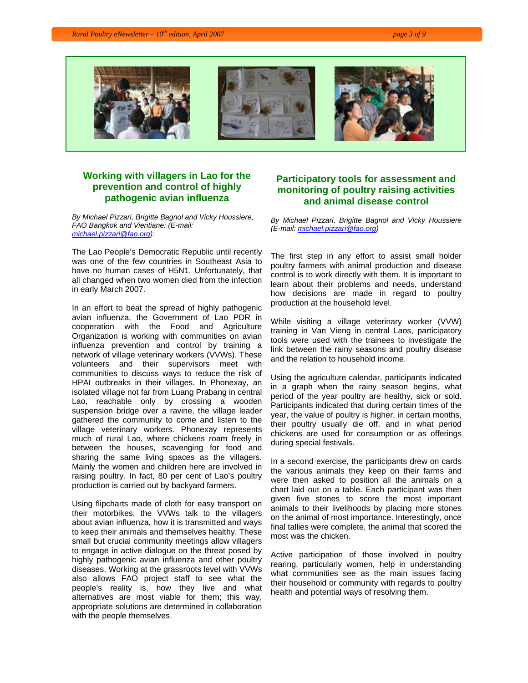

# **Working with villagers in Lao for the prevention and control of highly pathogenic avian influenza**

*By Michael Pizzari, Brigitte Bagnol and Vicky Houssiere, FAO Bangkok and Vientiane: (E-mail: michael.pizzari@fao.org):* 

The Lao People's Democratic Republic until recently was one of the few countries in Southeast Asia to have no human cases of H5N1. Unfortunately, that all changed when two women died from the infection in early March 2007.

In an effort to beat the spread of highly pathogenic avian influenza, the Government of Lao PDR in cooperation with the Food and Agriculture Organization is working with communities on avian influenza prevention and control by training a network of village veterinary workers (VVWs). These volunteers and their supervisors meet with communities to discuss ways to reduce the risk of HPAI outbreaks in their villages. In Phonexay, an isolated village not far from Luang Prabang in central Lao, reachable only by crossing a wooden suspension bridge over a ravine, the village leader gathered the community to come and listen to the village veterinary workers. Phonexay represents much of rural Lao, where chickens roam freely in between the houses, scavenging for food and sharing the same living spaces as the villagers. Mainly the women and children here are involved in raising poultry. In fact, 80 per cent of Lao's poultry production is carried out by backyard farmers.

Using flipcharts made of cloth for easy transport on their motorbikes, the VVWs talk to the villagers about avian influenza, how it is transmitted and ways to keep their animals and themselves healthy. These small but crucial community meetings allow villagers to engage in active dialogue on the threat posed by highly pathogenic avian influenza and other poultry diseases. Working at the grassroots level with VVWs also allows FAO project staff to see what the people's reality is, how they live and what alternatives are most viable for them; this way, appropriate solutions are determined in collaboration with the people themselves.

## **Participatory tools for assessment and monitoring of poultry raising activities and animal disease control**

*By Michael Pizzari, Brigitte Bagnol and Vicky Houssiere (E-mail: michael.pizzari@fao.org)* 

The first step in any effort to assist small holder poultry farmers with animal production and disease control is to work directly with them. It is important to learn about their problems and needs, understand how decisions are made in regard to poultry production at the household level.

While visiting a village veterinary worker (VVW) training in Van Vieng in central Laos, participatory tools were used with the trainees to investigate the link between the rainy seasons and poultry disease and the relation to household income.

Using the agriculture calendar, participants indicated in a graph when the rainy season begins, what period of the year poultry are healthy, sick or sold. Participants indicated that during certain times of the year, the value of poultry is higher, in certain months, their poultry usually die off, and in what period chickens are used for consumption or as offerings during special festivals.

In a second exercise, the participants drew on cards the various animals they keep on their farms and were then asked to position all the animals on a chart laid out on a table. Each participant was then given five stones to score the most important animals to their livelihoods by placing more stones on the animal of most importance. Interestingly, once final tallies were complete, the animal that scored the most was the chicken.

Active participation of those involved in poultry rearing, particularly women, help in understanding what communities see as the main issues facing their household or community with regards to poultry health and potential ways of resolving them.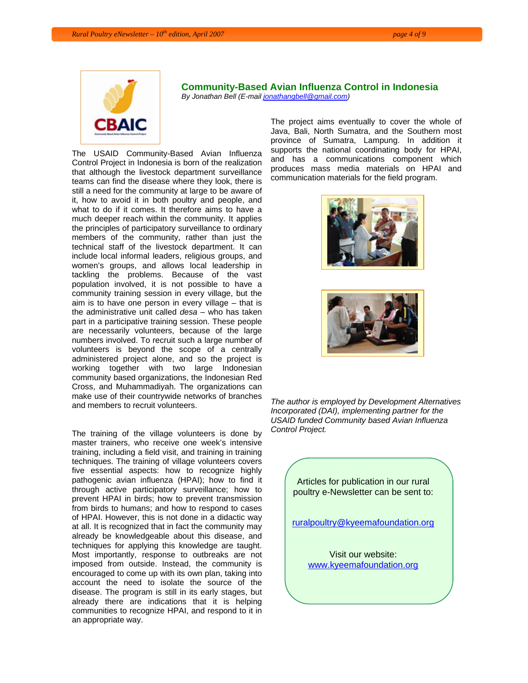

# **Community-Based Avian Influenza Control in Indonesia**

*By Jonathan Bell (E-mail jonathangbell@gmail.com)* 

The USAID Community-Based Avian Influenza Control Project in Indonesia is born of the realization that although the livestock department surveillance teams can find the disease where they look, there is still a need for the community at large to be aware of it, how to avoid it in both poultry and people, and what to do if it comes. It therefore aims to have a much deeper reach within the community. It applies the principles of participatory surveillance to ordinary members of the community, rather than just the technical staff of the livestock department. It can include local informal leaders, religious groups, and women's groups, and allows local leadership in tackling the problems. Because of the vast population involved, it is not possible to have a community training session in every village, but the aim is to have one person in every village – that is the administrative unit called *desa* – who has taken part in a participative training session. These people are necessarily volunteers, because of the large numbers involved. To recruit such a large number of volunteers is beyond the scope of a centrally administered project alone, and so the project is working together with two large Indonesian community based organizations, the Indonesian Red Cross, and Muhammadiyah. The organizations can make use of their countrywide networks of branches and members to recruit volunteers.

The training of the village volunteers is done by master trainers, who receive one week's intensive training, including a field visit, and training in training techniques. The training of village volunteers covers five essential aspects: how to recognize highly pathogenic avian influenza (HPAI); how to find it through active participatory surveillance; how to prevent HPAI in birds; how to prevent transmission from birds to humans; and how to respond to cases of HPAI. However, this is not done in a didactic way at all. It is recognized that in fact the community may already be knowledgeable about this disease, and techniques for applying this knowledge are taught. Most importantly, response to outbreaks are not imposed from outside. Instead, the community is encouraged to come up with its own plan, taking into account the need to isolate the source of the disease. The program is still in its early stages, but already there are indications that it is helping communities to recognize HPAI, and respond to it in an appropriate way.

The project aims eventually to cover the whole of Java, Bali, North Sumatra, and the Southern most province of Sumatra, Lampung. In addition it supports the national coordinating body for HPAI, and has a communications component which produces mass media materials on HPAI and communication materials for the field program.





*The author is employed by Development Alternatives Incorporated (DAI), implementing partner for the USAID funded Community based Avian Influenza Control Project.* 

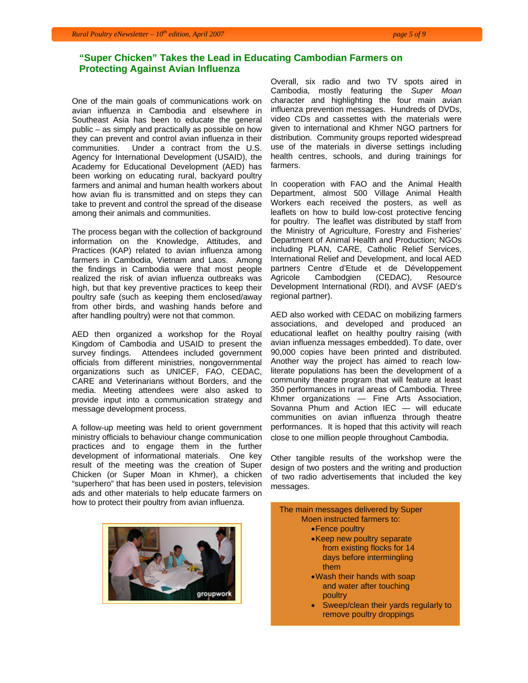# **"Super Chicken" Takes the Lead in Educating Cambodian Farmers on Protecting Against Avian Influenza**

One of the main goals of communications work on avian influenza in Cambodia and elsewhere in Southeast Asia has been to educate the general public – as simply and practically as possible on how they can prevent and control avian influenza in their communities. Under a contract from the U.S. Agency for International Development (USAID), the Academy for Educational Development (AED) has been working on educating rural, backyard poultry farmers and animal and human health workers about how avian flu is transmitted and on steps they can take to prevent and control the spread of the disease among their animals and communities.

The process began with the collection of background information on the Knowledge, Attitudes, and Practices (KAP) related to avian influenza among farmers in Cambodia, Vietnam and Laos. Among the findings in Cambodia were that most people realized the risk of avian influenza outbreaks was high, but that key preventive practices to keep their poultry safe (such as keeping them enclosed/away from other birds, and washing hands before and after handling poultry) were not that common.

AED then organized a workshop for the Royal Kingdom of Cambodia and USAID to present the survey findings. Attendees included government officials from different ministries, nongovernmental organizations such as UNICEF, FAO, CEDAC, CARE and Veterinarians without Borders, and the media. Meeting attendees were also asked to provide input into a communication strategy and message development process.

A follow-up meeting was held to orient government ministry officials to behaviour change communication practices and to engage them in the further development of informational materials. One key result of the meeting was the creation of Super Chicken (or Super Moan in Khmer), a chicken "superhero" that has been used in posters, television ads and other materials to help educate farmers on how to protect their poultry from avian influenza.



Overall, six radio and two TV spots aired in Cambodia, mostly featuring the *Super Moan*  character and highlighting the four main avian influenza prevention messages. Hundreds of DVDs, video CDs and cassettes with the materials were given to international and Khmer NGO partners for distribution. Community groups reported widespread use of the materials in diverse settings including health centres, schools, and during trainings for farmers.

In cooperation with FAO and the Animal Health Department, almost 500 Village Animal Health Workers each received the posters, as well as leaflets on how to build low-cost protective fencing for poultry. The leaflet was distributed by staff from the Ministry of Agriculture, Forestry and Fisheries' Department of Animal Health and Production; NGOs including PLAN, CARE, Catholic Relief Services, International Relief and Development, and local AED partners Centre d'Etude et de Développement Agricole Cambodgien (CEDAC), Resource Development International (RDI), and AVSF (AED's regional partner).

AED also worked with CEDAC on mobilizing farmers associations, and developed and produced an educational leaflet on healthy poultry raising (with avian influenza messages embedded). To date, over 90,000 copies have been printed and distributed. Another way the project has aimed to reach lowliterate populations has been the development of a community theatre program that will feature at least 350 performances in rural areas of Cambodia. Three Khmer organizations — Fine Arts Association, Sovanna Phum and Action IEC — will educate communities on avian influenza through theatre performances. It is hoped that this activity will reach close to one million people throughout Cambodia.

Other tangible results of the workshop were the design of two posters and the writing and production of two radio advertisements that included the key messages.

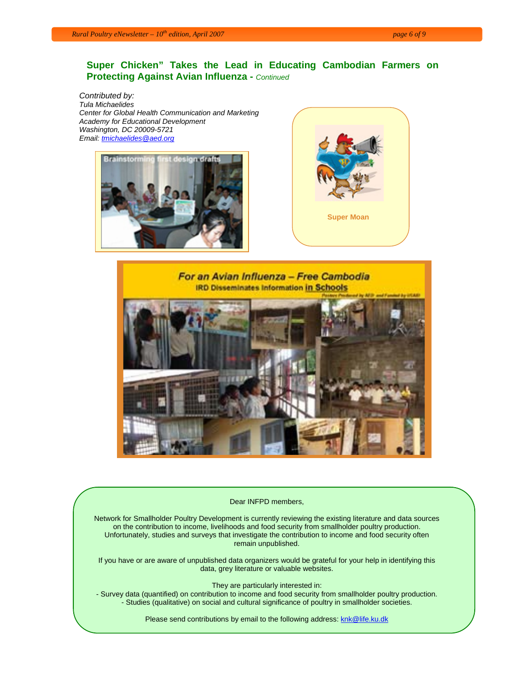# **Super Chicken" Takes the Lead in Educating Cambodian Farmers on Protecting Against Avian Influenza -** *Continued*

*Contributed by: Tula Michaelides Center for Global Health Communication and Marketing Academy for Educational Development Washington, DC 20009-5721 Email: tmichaelides@aed.org*







#### Dear INFPD members,

Network for Smallholder Poultry Development is currently reviewing the existing literature and data sources on the contribution to income, livelihoods and food security from smallholder poultry production. Unfortunately, studies and surveys that investigate the contribution to income and food security often remain unpublished.

If you have or are aware of unpublished data organizers would be grateful for your help in identifying this data, grey literature or valuable websites.

They are particularly interested in:

- Survey data (quantified) on contribution to income and food security from smallholder poultry production. - Studies (qualitative) on social and cultural significance of poultry in smallholder societies.

Please send contributions by email to the following address: knk@life.ku.dk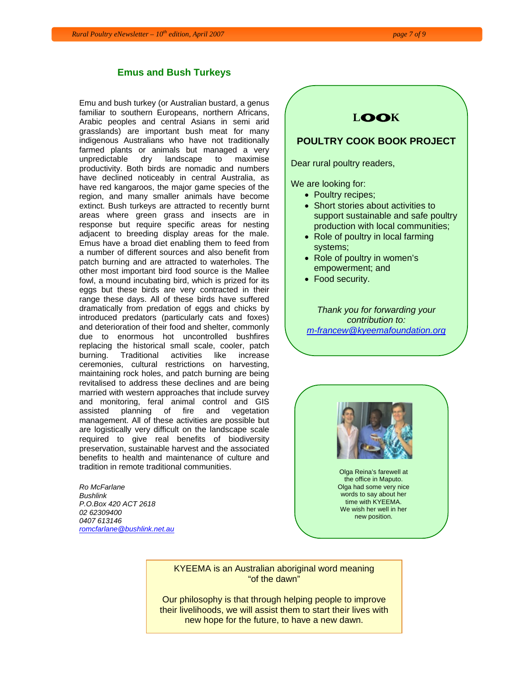## **Emus and Bush Turkeys**

Emu and bush turkey (or Australian bustard, a genus familiar to southern Europeans, northern Africans, Arabic peoples and central Asians in semi arid grasslands) are important bush meat for many indigenous Australians who have not traditionally farmed plants or animals but managed a very unpredictable dry landscape to maximise productivity. Both birds are nomadic and numbers have declined noticeably in central Australia, as have red kangaroos, the major game species of the region, and many smaller animals have become extinct. Bush turkeys are attracted to recently burnt areas where green grass and insects are in response but require specific areas for nesting adjacent to breeding display areas for the male. Emus have a broad diet enabling them to feed from a number of different sources and also benefit from patch burning and are attracted to waterholes. The other most important bird food source is the Mallee fowl, a mound incubating bird, which is prized for its eggs but these birds are very contracted in their range these days. All of these birds have suffered dramatically from predation of eggs and chicks by introduced predators (particularly cats and foxes) and deterioration of their food and shelter, commonly due to enormous hot uncontrolled bushfires replacing the historical small scale, cooler, patch burning. Traditional activities like increase ceremonies, cultural restrictions on harvesting, maintaining rock holes, and patch burning are being revitalised to address these declines and are being married with western approaches that include survey and monitoring, feral animal control and GIS assisted planning of fire and vegetation management. All of these activities are possible but are logistically very difficult on the landscape scale required to give real benefits of biodiversity preservation, sustainable harvest and the associated benefits to health and maintenance of culture and tradition in remote traditional communities.

*Ro McFarlane Bushlink P.O.Box 420 ACT 2618 02 62309400 0407 613146 romcfarlane@bushlink.net.au* 



We are looking for:

- Poultry recipes;
- Short stories about activities to support sustainable and safe poultry production with local communities;
- Role of poultry in local farming systems;
- Role of poultry in women's empowerment; and
- Food security.

*Thank you for forwarding your contribution to: m-francew@kyeemafoundation.org*



Olga Reina's farewell at the office in Maputo. Olga had some very nice words to say about her time with KYEEMA. We wish her well in her new position.

KYEEMA is an Australian aboriginal word meaning "of the dawn"

Our philosophy is that through helping people to improve their livelihoods, we will assist them to start their lives with new hope for the future, to have a new dawn.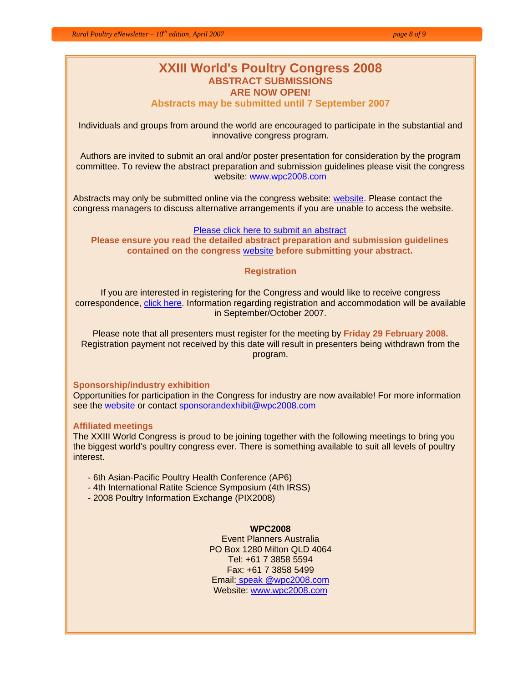**Abstracts may be submitted until 7 September 2007**

Individuals and groups from around the world are encouraged to participate in the substantial and innovative congress program.

Authors are invited to submit an oral and/or poster presentation for consideration by the program committee. To review the abstract preparation and submission guidelines please visit the congress website: www.wpc2008.com

Abstracts may only be submitted online via the congress website: website. Please contact the congress managers to discuss alternative arrangements if you are unable to access the website.

## Please click here to submit an abstract

**Please ensure you read the detailed abstract preparation and submission guidelines contained on the congress** website **before submitting your abstract.** 

## **Registration**

If you are interested in registering for the Congress and would like to receive congress correspondence, click here. Information regarding registration and accommodation will be available in September/October 2007.

Please note that all presenters must register for the meeting by **Friday 29 February 2008.** Registration payment not received by this date will result in presenters being withdrawn from the program.

## **Sponsorship/industry exhibition**

Opportunities for participation in the Congress for industry are now available! For more information see the website or contact sponsorandexhibit@wpc2008.com

## **Affiliated meetings**

The XXIII World Congress is proud to be joining together with the following meetings to bring you the biggest world's poultry congress ever. There is something available to suit all levels of poultry interest.

- 6th Asian-Pacific Poultry Health Conference (AP6)
- 4th International Ratite Science Symposium (4th IRSS)
- 2008 Poultry Information Exchange (PIX2008)

## **WPC2008**

Event Planners Australia PO Box 1280 Milton QLD 4064 Tel: +61 7 3858 5594 Fax: +61 7 3858 5499 Email: speak @wpc2008.com Website: www.wpc2008.com